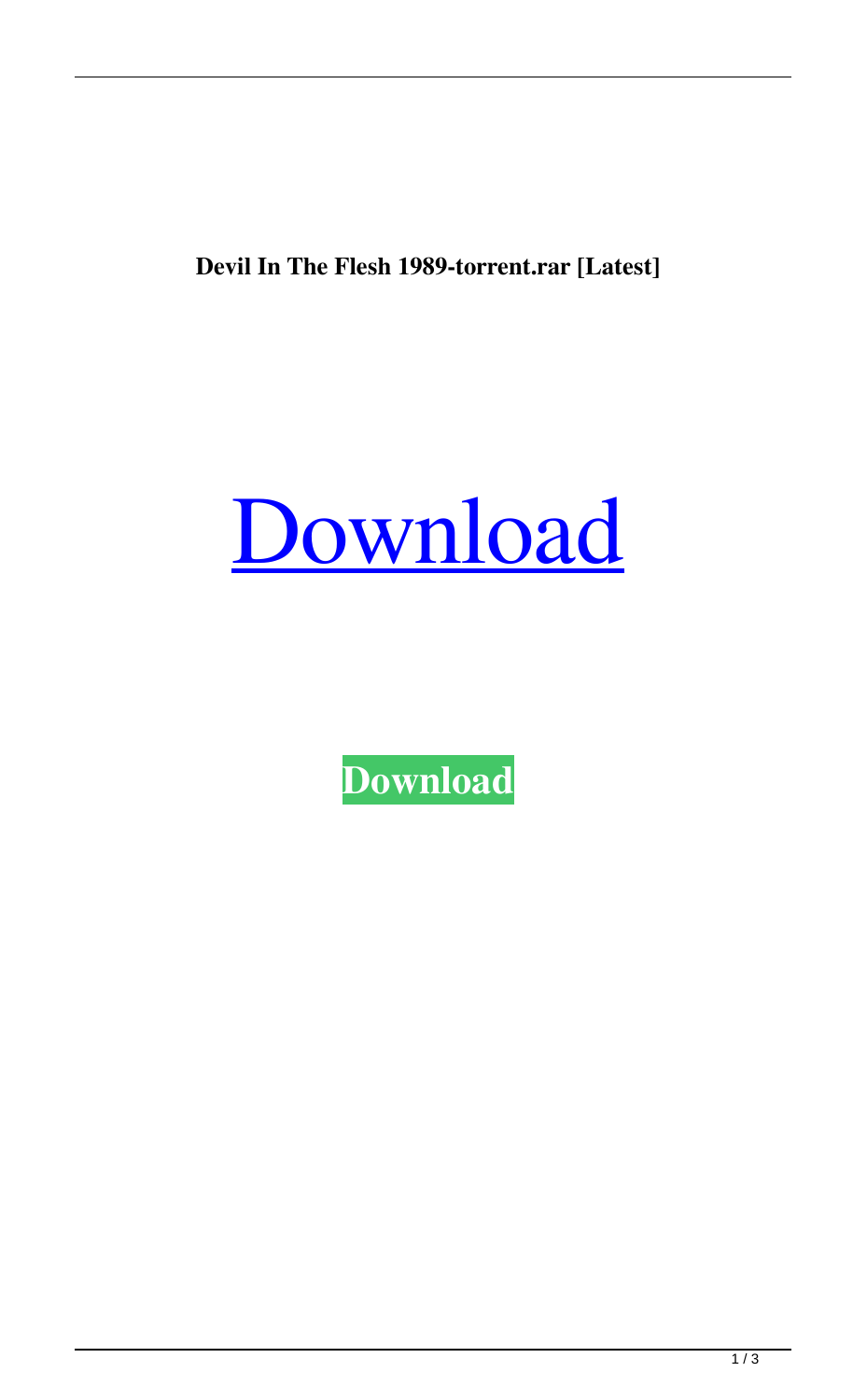**Devil In The Flesh 1989-torrent.rar [Latest]**



**[Download](http://evacdir.com/ZG93bmxvYWR8cDNxTVRneVpIeDhNVFkxTWpRMk16QTFNSHg4TWpVM05IeDhLRTBwSUhKbFlXUXRZbXh2WnlCYlJtRnpkQ0JIUlU1ZA/slouch/handlebars.RGV2aWwgSW4gVGhlIEZsZXNoIDE5ODktdG9ycmVudC5yYXIRGV/paramaribo/pneumonia/pulao.skateparks/)**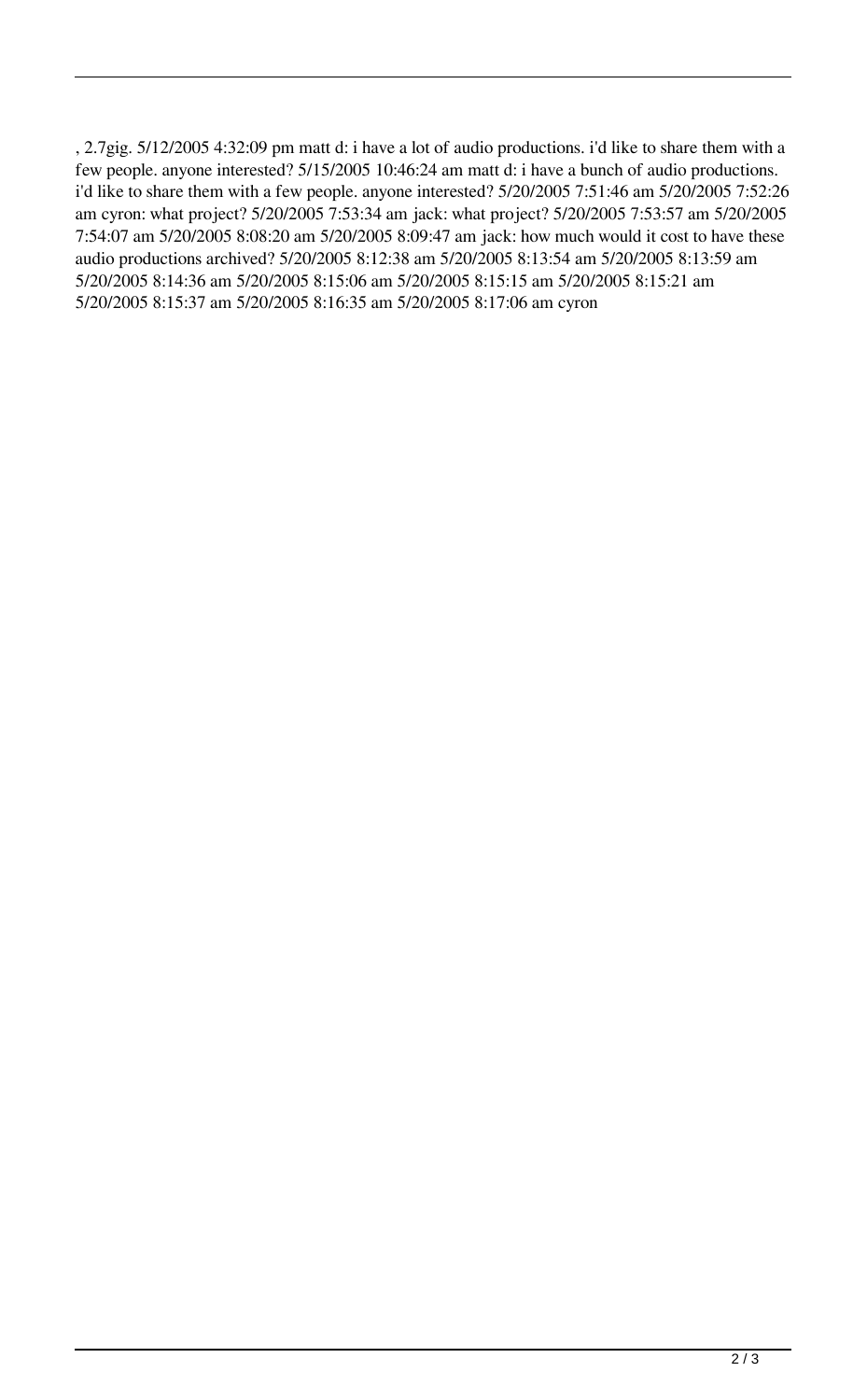, 2.7gig. 5/12/2005 4:32:09 pm matt d: i have a lot of audio productions. i'd like to share them with a few people. anyone interested? 5/15/2005 10:46:24 am matt d: i have a bunch of audio productions. i'd like to share them with a few people. anyone interested? 5/20/2005 7:51:46 am 5/20/2005 7:52:26 am cyron: what project? 5/20/2005 7:53:34 am jack: what project? 5/20/2005 7:53:57 am 5/20/2005 7:54:07 am 5/20/2005 8:08:20 am 5/20/2005 8:09:47 am jack: how much would it cost to have these audio productions archived? 5/20/2005 8:12:38 am 5/20/2005 8:13:54 am 5/20/2005 8:13:59 am 5/20/2005 8:14:36 am 5/20/2005 8:15:06 am 5/20/2005 8:15:15 am 5/20/2005 8:15:21 am 5/20/2005 8:15:37 am 5/20/2005 8:16:35 am 5/20/2005 8:17:06 am cyron